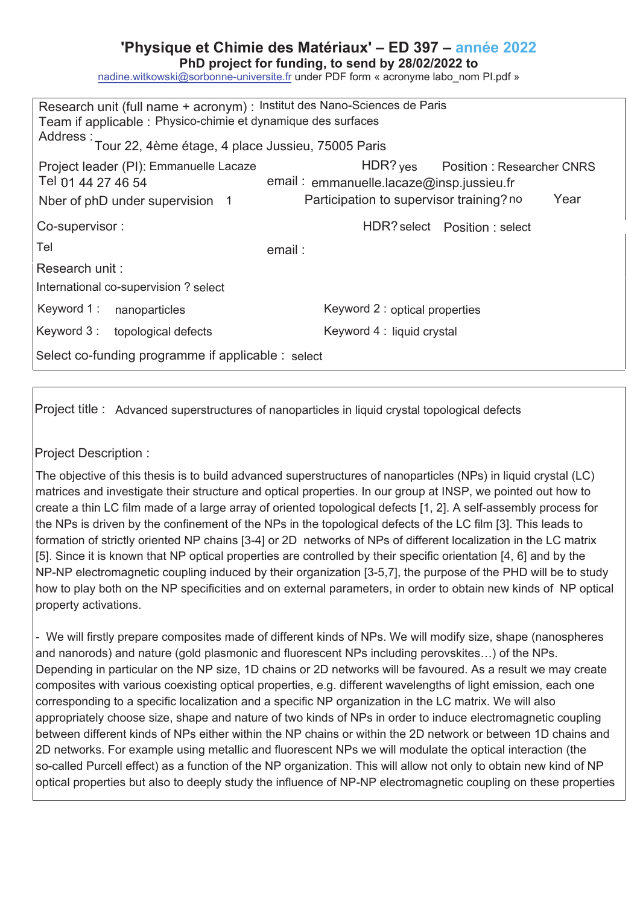## **'Physique et Chimie des Matériaux' – ED 397 – année 202**

PhD project for funding, to send by 28/02/2022 to

nadine.witkowski@sorbonne-universite.fr under PDF form « acronyme labo\_nom Pl.pdf »

| Research unit (full name + acronym) : Institut des Nano-Sciences de Paris<br>Team if applicable : Physico-chimie et dynamique des surfaces<br>Address : Tour 22, 4ème étage, 4 place Jussieu, 75005 Paris |                                                                                                                                     |
|-----------------------------------------------------------------------------------------------------------------------------------------------------------------------------------------------------------|-------------------------------------------------------------------------------------------------------------------------------------|
| Project leader (PI): Emmanuelle Lacaze<br>Tel 01 44 27 46 54<br>Nber of phD under supervision 1                                                                                                           | HDR? yes Position : Researcher CNRS<br>email: emmanuelle.lacaze@insp.jussieu.fr<br>Participation to supervisor training? no<br>Year |
| Co-supervisor:                                                                                                                                                                                            | HDR? select    Position : select                                                                                                    |
| Tel                                                                                                                                                                                                       | email:                                                                                                                              |
| Research unit:                                                                                                                                                                                            |                                                                                                                                     |
| International co-supervision? select                                                                                                                                                                      |                                                                                                                                     |
| Keyword 1 :<br>nanoparticles                                                                                                                                                                              | Keyword 2 : optical properties                                                                                                      |
| Keyword 3: topological defects                                                                                                                                                                            | Keyword 4 : liquid crystal                                                                                                          |
| Select co-funding programme if applicable : select                                                                                                                                                        |                                                                                                                                     |

Project title : Advanced superstructures of nanoparticles in liquid crystal topological defects

Project Description :

The objective of this thesis is to build advanced superstructures of nanoparticles (NPs) in liquid crystal (LC) matrices and investigate their structure and optical properties. In our group at INSP, we pointed out how to create a thin LC film made of a large array of oriented topological defects [1, 2]. A self-assembly process for the NPs is driven by the confinement of the NPs in the topological defects of the LC film [3]. This leads to formation of strictly oriented NP chains [3-4] or 2D networks of NPs of different localization in the LC matrix [5]. Since it is known that NP optical properties are controlled by their specific orientation [4, 6] and by the NP-NP electromagnetic coupling induced by their organization [3-5,7], the purpose of the PHD will be to study how to play both on the NP specificities and on external parameters, in order to obtain new kinds of NP optical property activations.

- We will firstly prepare composites made of different kinds of NPs. We will modify size, shape (nanospheres and nanorods) and nature (gold plasmonic and fluorescent NPs including perovskites…) of the NPs. Depending in particular on the NP size, 1D chains or 2D networks will be favoured. As a result we may create composites with various coexisting optical properties, e.g. different wavelengths of light emission, each one corresponding to a specific localization and a specific NP organization in the LC matrix. We will also appropriately choose size, shape and nature of two kinds of NPs in order to induce electromagnetic coupling between different kinds of NPs either within the NP chains or within the 2D network or between 1D chains and 2D networks. For example using metallic and fluorescent NPs we will modulate the optical interaction (the so-called Purcell effect) as a function of the NP organization. This will allow not only to obtain new kind of NP optical properties but also to deeply study the influence of NP-NP electromagnetic coupling on these properties